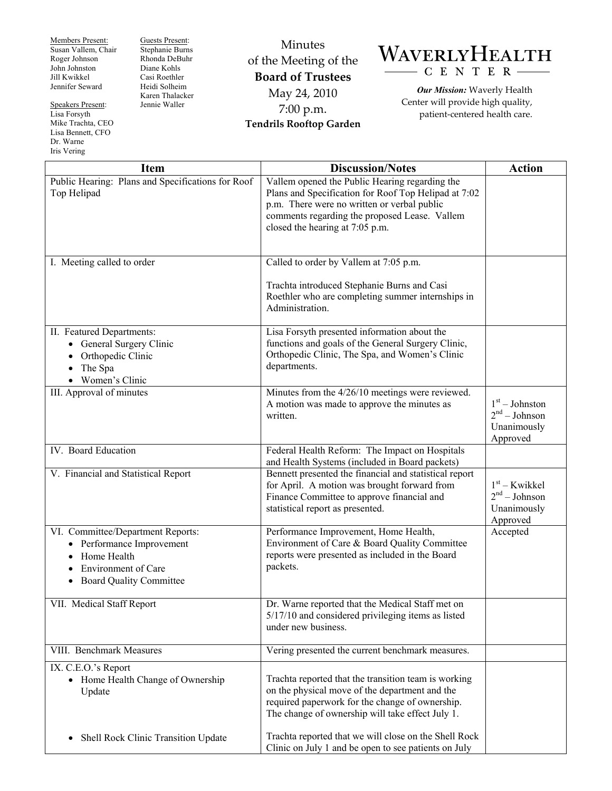Members Present: Susan Vallem, Chair Roger Johnson John Johnston Jill Kwikkel Jennifer Seward

Speakers Present: Lisa Forsyth Mike Trachta, CEO Lisa Bennett, CFO Dr. Warne Iris Vering

Guests Present: Stephanie Burns Rhonda DeBuhr Diane Kohls Casi Roethler Heidi Solheim Karen Thalacker Jennie Waller

Minutes of the Meeting of the **Board of Trustees**  May 24, 2010 7:00 p.m. **Tendrils Rooftop Garden** 



*Our Mission:* Waverly Health Center will provide high quality, patient-centered health care.

| <b>Item</b>                                                                                                                                 | <b>Discussion/Notes</b>                                                                                                                                                                                                                   | <b>Action</b>                                                  |
|---------------------------------------------------------------------------------------------------------------------------------------------|-------------------------------------------------------------------------------------------------------------------------------------------------------------------------------------------------------------------------------------------|----------------------------------------------------------------|
| Public Hearing: Plans and Specifications for Roof<br>Top Helipad                                                                            | Vallem opened the Public Hearing regarding the<br>Plans and Specification for Roof Top Helipad at 7:02<br>p.m. There were no written or verbal public<br>comments regarding the proposed Lease. Vallem<br>closed the hearing at 7:05 p.m. |                                                                |
| I. Meeting called to order                                                                                                                  | Called to order by Vallem at 7:05 p.m.                                                                                                                                                                                                    |                                                                |
|                                                                                                                                             | Trachta introduced Stephanie Burns and Casi<br>Roethler who are completing summer internships in<br>Administration.                                                                                                                       |                                                                |
| II. Featured Departments:<br>• General Surgery Clinic<br>Orthopedic Clinic<br>$\bullet$<br>The Spa<br>$\bullet$<br>• Women's Clinic         | Lisa Forsyth presented information about the<br>functions and goals of the General Surgery Clinic,<br>Orthopedic Clinic, The Spa, and Women's Clinic<br>departments.                                                                      |                                                                |
| III. Approval of minutes                                                                                                                    | Minutes from the 4/26/10 meetings were reviewed.<br>A motion was made to approve the minutes as<br>written.                                                                                                                               | $1st - Johnston$<br>$2nd - Johnson$<br>Unanimously<br>Approved |
| IV. Board Education                                                                                                                         | Federal Health Reform: The Impact on Hospitals<br>and Health Systems (included in Board packets)                                                                                                                                          |                                                                |
| V. Financial and Statistical Report                                                                                                         | Bennett presented the financial and statistical report<br>for April. A motion was brought forward from<br>Finance Committee to approve financial and<br>statistical report as presented.                                                  | $1st - Kwikkel$<br>$2nd - Johnson$<br>Unanimously<br>Approved  |
| VI. Committee/Department Reports:<br>Performance Improvement<br>Home Health<br><b>Environment of Care</b><br><b>Board Quality Committee</b> | Performance Improvement, Home Health,<br>Environment of Care & Board Quality Committee<br>reports were presented as included in the Board<br>packets.                                                                                     | Accepted                                                       |
| VII. Medical Staff Report                                                                                                                   | Dr. Warne reported that the Medical Staff met on<br>$5/17/10$ and considered privileging items as listed<br>under new business.                                                                                                           |                                                                |
| VIII. Benchmark Measures                                                                                                                    | Vering presented the current benchmark measures.                                                                                                                                                                                          |                                                                |
| IX. C.E.O.'s Report<br>• Home Health Change of Ownership<br>Update                                                                          | Trachta reported that the transition team is working<br>on the physical move of the department and the<br>required paperwork for the change of ownership.<br>The change of ownership will take effect July 1.                             |                                                                |
| Shell Rock Clinic Transition Update<br>٠                                                                                                    | Trachta reported that we will close on the Shell Rock<br>Clinic on July 1 and be open to see patients on July                                                                                                                             |                                                                |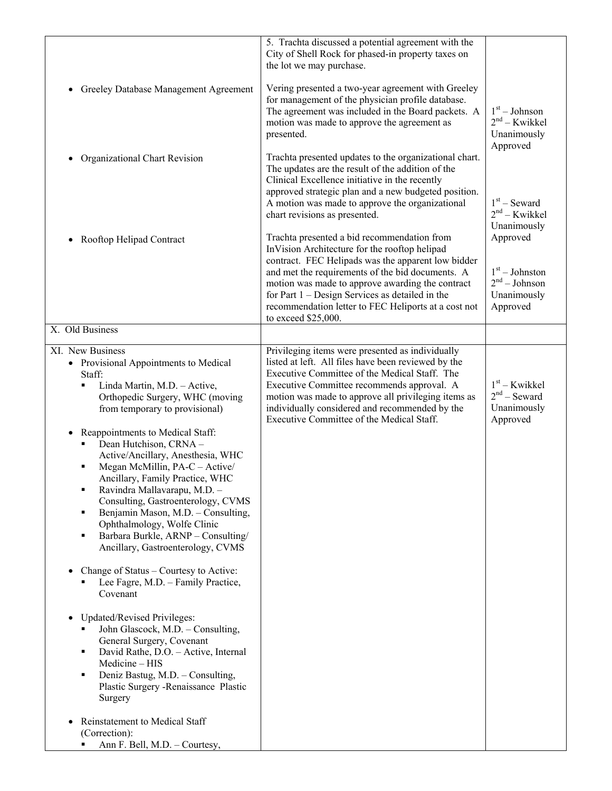|                                                                                                                                                                                                                                                                                                                                                                                                                                                                                                                                                                                                                                                                                                                                                                                                                                                   | 5. Trachta discussed a potential agreement with the<br>City of Shell Rock for phased-in property taxes on<br>the lot we may purchase.                                                                                                                                                                                                                                                          |                                                                            |
|---------------------------------------------------------------------------------------------------------------------------------------------------------------------------------------------------------------------------------------------------------------------------------------------------------------------------------------------------------------------------------------------------------------------------------------------------------------------------------------------------------------------------------------------------------------------------------------------------------------------------------------------------------------------------------------------------------------------------------------------------------------------------------------------------------------------------------------------------|------------------------------------------------------------------------------------------------------------------------------------------------------------------------------------------------------------------------------------------------------------------------------------------------------------------------------------------------------------------------------------------------|----------------------------------------------------------------------------|
| Greeley Database Management Agreement<br>$\bullet$                                                                                                                                                                                                                                                                                                                                                                                                                                                                                                                                                                                                                                                                                                                                                                                                | Vering presented a two-year agreement with Greeley<br>for management of the physician profile database.<br>The agreement was included in the Board packets. A<br>motion was made to approve the agreement as<br>presented.                                                                                                                                                                     | $1st - Johnson$<br>$2nd - Kwikkel$<br>Unanimously<br>Approved              |
| Organizational Chart Revision<br>$\bullet$                                                                                                                                                                                                                                                                                                                                                                                                                                                                                                                                                                                                                                                                                                                                                                                                        | Trachta presented updates to the organizational chart.<br>The updates are the result of the addition of the<br>Clinical Excellence initiative in the recently<br>approved strategic plan and a new budgeted position.<br>A motion was made to approve the organizational<br>chart revisions as presented.                                                                                      | $1st$ – Seward<br>$2nd - Kwikkel$<br>Unanimously                           |
| Rooftop Helipad Contract<br>$\bullet$                                                                                                                                                                                                                                                                                                                                                                                                                                                                                                                                                                                                                                                                                                                                                                                                             | Trachta presented a bid recommendation from<br>InVision Architecture for the rooftop helipad<br>contract. FEC Helipads was the apparent low bidder<br>and met the requirements of the bid documents. A<br>motion was made to approve awarding the contract<br>for Part $1$ – Design Services as detailed in the<br>recommendation letter to FEC Heliports at a cost not<br>to exceed \$25,000. | Approved<br>$1st - Johnston$<br>$2nd - Johnson$<br>Unanimously<br>Approved |
| X. Old Business                                                                                                                                                                                                                                                                                                                                                                                                                                                                                                                                                                                                                                                                                                                                                                                                                                   |                                                                                                                                                                                                                                                                                                                                                                                                |                                                                            |
| XI. New Business<br>• Provisional Appointments to Medical<br>Staff:<br>Linda Martin, M.D. - Active,<br>Orthopedic Surgery, WHC (moving<br>from temporary to provisional)<br>Reappointments to Medical Staff:<br>$\bullet$<br>Dean Hutchison, CRNA -<br>Active/Ancillary, Anesthesia, WHC<br>Megan McMillin, PA-C - Active/<br>Ancillary, Family Practice, WHC<br>Ravindra Mallavarapu, M.D. -<br>٠<br>Consulting, Gastroenterology, CVMS<br>Benjamin Mason, M.D. - Consulting,<br>٠<br>Ophthalmology, Wolfe Clinic<br>Barbara Burkle, ARNP - Consulting/<br>٠<br>Ancillary, Gastroenterology, CVMS<br>Change of Status – Courtesy to Active:<br>٠<br>Lee Fagre, M.D. - Family Practice,<br>Covenant<br>Updated/Revised Privileges:<br>John Glascock, M.D. - Consulting,<br>General Surgery, Covenant<br>David Rathe, D.O. - Active, Internal<br>٠ | Privileging items were presented as individually<br>listed at left. All files have been reviewed by the<br>Executive Committee of the Medical Staff. The<br>Executive Committee recommends approval. A<br>motion was made to approve all privileging items as<br>individually considered and recommended by the<br>Executive Committee of the Medical Staff.                                   | $1st$ – Kwikkel<br>$2nd$ – Seward<br>Unanimously<br>Approved               |
| Medicine - HIS<br>Deniz Bastug, M.D. - Consulting,<br>٠<br>Plastic Surgery - Renaissance Plastic<br>Surgery<br>Reinstatement to Medical Staff<br>(Correction):<br>Ann F. Bell, M.D. - Courtesy,                                                                                                                                                                                                                                                                                                                                                                                                                                                                                                                                                                                                                                                   |                                                                                                                                                                                                                                                                                                                                                                                                |                                                                            |